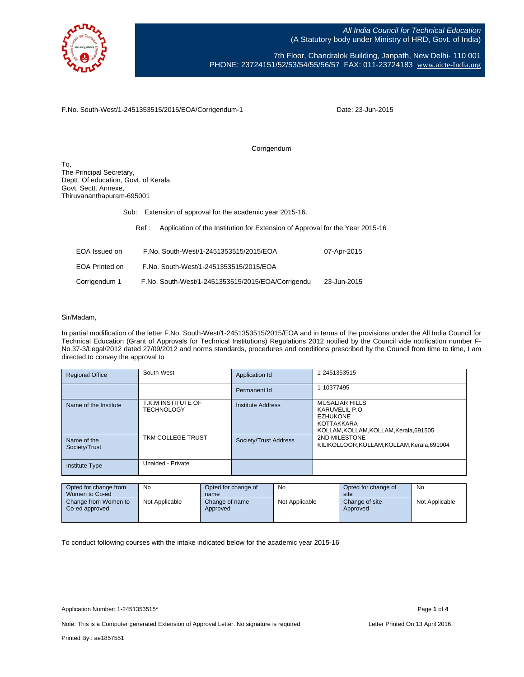

All India Council for Technical Education (A Statutory body under Ministry of HRD, Govt. of India)

7th Floor, Chandralok Building, Janpath, New Delhi- 110 001 PHONE: 23724151/52/53/54/55/56/57 FAX: 011-23724183 [www.aicte-India.org](http://www.aicte-india.org/)

F.No. South-West/1-2451353515/2015/EOA/Corrigendum-1

Date: 23-Jun-2015

Corrigendum

To, The Principal Secretary, Deptt. Of education, Govt. of Kerala, Govt. Sectt. Annexe, Thiruvananthapuram-695001

Sub: Extension of approval for the academic year 2015-16.

Ref : Application of the Institution for Extension of Approval for the Year 2015-16

| EOA Issued on  | F.No. South-West/1-2451353515/2015/EOA            | 07-Apr-2015 |
|----------------|---------------------------------------------------|-------------|
| EOA Printed on | F.No. South-West/1-2451353515/2015/EOA            |             |
| Corrigendum 1  | F.No. South-West/1-2451353515/2015/EOA/Corrigendu | 23-Jun-2015 |

## Sir/Madam,

In partial modification of the letter F.No. South-West/1-2451353515/2015/EOA and in terms of the provisions under the All India Council for Technical Education (Grant of Approvals for Technical Institutions) Regulations 2012 notified by the Council vide notification number F-No.37-3/Legal/2012 dated 27/09/2012 and norms standards, procedures and conditions prescribed by the Council from time to time, I am directed to convey the approval to

| <b>Regional Office</b>       | South-West                              | Application Id           | 1-2451353515                                                                                                      |
|------------------------------|-----------------------------------------|--------------------------|-------------------------------------------------------------------------------------------------------------------|
|                              |                                         | Permanent Id             | 1-10377495                                                                                                        |
| Name of the Institute        | T.K.M INSTITUTE OF<br><b>TECHNOLOGY</b> | <b>Institute Address</b> | <b>MUSALIAR HILLS</b><br>KARUVELIL P.O<br><b>EZHUKONE</b><br>KOTTAKKARA<br>KOLLAM, KOLLAM, KOLLAM, Kerala, 691505 |
| Name of the<br>Society/Trust | TKM COLLEGE TRUST                       | Society/Trust Address    | 2ND MILESTONE<br>KILIKOLLOOR, KOLLAM, KOLLAM, Kerala, 691004                                                      |
| Institute Type               | Unaided - Private                       |                          |                                                                                                                   |

| Opted for change from                  | No             | Opted for change of        | No             | Opted for change of        | No             |
|----------------------------------------|----------------|----------------------------|----------------|----------------------------|----------------|
| Women to Co-ed                         |                | name                       |                | site                       |                |
| Change from Women to<br>Co-ed approved | Not Applicable | Change of name<br>Approved | Not Applicable | Change of site<br>Approved | Not Applicable |

To conduct following courses with the intake indicated below for the academic year 2015-16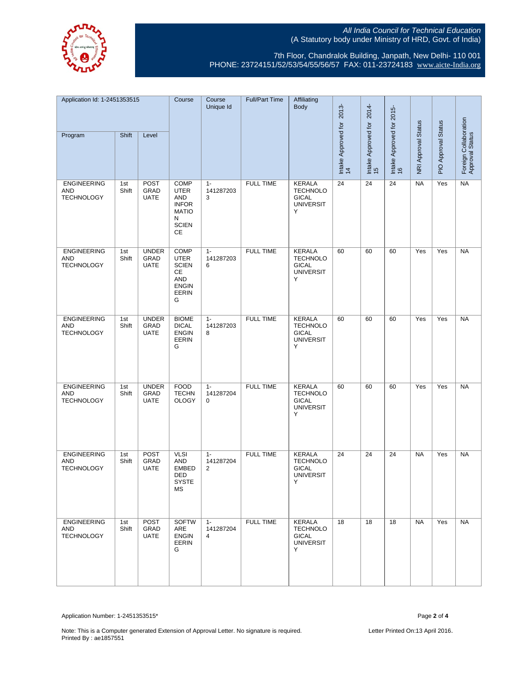

7th Floor, Chandralok Building, Janpath, New Delhi- 110 001 PHONE: 23724151/52/53/54/55/56/57 FAX: 011-23724183 [www.aicte-India.org](http://www.aicte-india.org/)

| Application Id: 1-2451353515                          |              | Course                              | Course<br>Unique Id                                                                                        | <b>Full/Part Time</b>                | Affiliating<br>Body |                                                                           | 2014-                            |                           |                                 |                            |                     |                                          |
|-------------------------------------------------------|--------------|-------------------------------------|------------------------------------------------------------------------------------------------------------|--------------------------------------|---------------------|---------------------------------------------------------------------------|----------------------------------|---------------------------|---------------------------------|----------------------------|---------------------|------------------------------------------|
| Program                                               | Shift        | Level                               |                                                                                                            |                                      |                     |                                                                           | Intake Approved for  2013-<br>14 | Intake Approved for<br>15 | Intake Approved for 2015-<br>16 | <b>NRI Approval Status</b> | PIO Approval Status | Foreign Collaboration<br>Approval Status |
| <b>ENGINEERING</b><br><b>AND</b><br><b>TECHNOLOGY</b> | 1st<br>Shift | POST<br>GRAD<br><b>UATE</b>         | <b>COMP</b><br><b>UTER</b><br><b>AND</b><br><b>INFOR</b><br><b>MATIO</b><br>N<br><b>SCIEN</b><br>СE        | $1 -$<br>141287203<br>3              | <b>FULL TIME</b>    | <b>KERALA</b><br><b>TECHNOLO</b><br><b>GICAL</b><br><b>UNIVERSIT</b><br>Y | 24                               | 24                        | 24                              | <b>NA</b>                  | Yes                 | NA                                       |
| <b>ENGINEERING</b><br>AND<br><b>TECHNOLOGY</b>        | 1st<br>Shift | <b>UNDER</b><br>GRAD<br><b>UATE</b> | <b>COMP</b><br><b>UTER</b><br><b>SCIEN</b><br><b>CE</b><br><b>AND</b><br><b>ENGIN</b><br><b>EERIN</b><br>G | $1 -$<br>141287203<br>6              | <b>FULL TIME</b>    | <b>KERALA</b><br><b>TECHNOLO</b><br><b>GICAL</b><br><b>UNIVERSIT</b><br>Υ | 60                               | 60                        | 60                              | Yes                        | Yes                 | <b>NA</b>                                |
| <b>ENGINEERING</b><br>AND<br><b>TECHNOLOGY</b>        | 1st<br>Shift | <b>UNDER</b><br>GRAD<br><b>UATE</b> | <b>BIOME</b><br><b>DICAL</b><br><b>ENGIN</b><br>EERIN<br>G                                                 | $1 -$<br>141287203<br>8              | <b>FULL TIME</b>    | <b>KERALA</b><br><b>TECHNOLO</b><br><b>GICAL</b><br><b>UNIVERSIT</b><br>Υ | 60                               | 60                        | 60                              | Yes                        | Yes                 | <b>NA</b>                                |
| <b>ENGINEERING</b><br>AND<br><b>TECHNOLOGY</b>        | 1st<br>Shift | <b>UNDER</b><br>GRAD<br><b>UATE</b> | <b>FOOD</b><br><b>TECHN</b><br><b>OLOGY</b>                                                                | $1 -$<br>141287204<br>0              | <b>FULL TIME</b>    | <b>KERALA</b><br><b>TECHNOLO</b><br><b>GICAL</b><br><b>UNIVERSIT</b><br>Y | 60                               | 60                        | 60                              | Yes                        | Yes                 | <b>NA</b>                                |
| <b>ENGINEERING</b><br><b>AND</b><br><b>TECHNOLOGY</b> | 1st<br>Shift | POST<br>GRAD<br><b>UATE</b>         | <b>VLSI</b><br><b>AND</b><br><b>EMBED</b><br>DED<br><b>SYSTE</b><br>MS                                     | $1 -$<br>141287204<br>$\overline{2}$ | <b>FULL TIME</b>    | <b>KERALA</b><br><b>TECHNOLO</b><br><b>GICAL</b><br><b>UNIVERSIT</b><br>Υ | 24                               | 24                        | 24                              | <b>NA</b>                  | Yes                 | NA                                       |
| <b>ENGINEERING</b><br>AND<br><b>TECHNOLOGY</b>        | 1st<br>Shift | <b>POST</b><br>GRAD<br><b>UATE</b>  | <b>SOFTW</b><br>ARE<br><b>ENGIN</b><br>EERIN<br>G                                                          | $1 -$<br>141287204<br>$\overline{4}$ | <b>FULL TIME</b>    | <b>KERALA</b><br><b>TECHNOLO</b><br><b>GICAL</b><br><b>UNIVERSIT</b><br>Y | 18                               | 18                        | 18                              | <b>NA</b>                  | Yes                 | <b>NA</b>                                |

Application Number: 1-2451353515\* Page **2** of **4**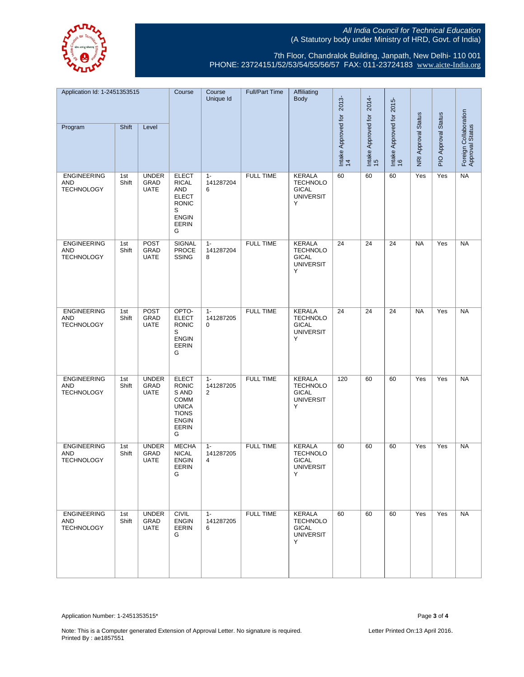All India Council for Technical Education (A Statutory body under Ministry of HRD, Govt. of India)



7th Floor, Chandralok Building, Janpath, New Delhi- 110 001 PHONE: 23724151/52/53/54/55/56/57 FAX: 011-23724183 [www.aicte-India.org](http://www.aicte-india.org/)

| Application Id: 1-2451353515                          |              | Course                              | Course<br>Unique Id                                                                                                       | <b>Full/Part Time</b>                | Affiliating<br>Body |                                                                           |                                 |                                  |                                 |                            |                     |                                          |
|-------------------------------------------------------|--------------|-------------------------------------|---------------------------------------------------------------------------------------------------------------------------|--------------------------------------|---------------------|---------------------------------------------------------------------------|---------------------------------|----------------------------------|---------------------------------|----------------------------|---------------------|------------------------------------------|
| Program                                               | Shift        | Level                               |                                                                                                                           |                                      |                     |                                                                           | Intake Approved for 2013-<br>14 | Intake Approved for  2014-<br>15 | Intake Approved for 2015-<br>16 | <b>NRI Approval Status</b> | PIO Approval Status | Foreign Collaboration<br>Approval Status |
| <b>ENGINEERING</b><br>AND<br><b>TECHNOLOGY</b>        | 1st<br>Shift | <b>UNDER</b><br>GRAD<br><b>UATE</b> | <b>ELECT</b><br><b>RICAL</b><br><b>AND</b><br><b>ELECT</b><br><b>RONIC</b><br>S<br><b>ENGIN</b><br><b>EERIN</b><br>G      | $1 -$<br>141287204<br>6              | <b>FULL TIME</b>    | <b>KERALA</b><br><b>TECHNOLO</b><br><b>GICAL</b><br><b>UNIVERSIT</b><br>Υ | 60                              | 60                               | 60                              | Yes                        | Yes                 | NA                                       |
| <b>ENGINEERING</b><br>AND<br><b>TECHNOLOGY</b>        | 1st<br>Shift | <b>POST</b><br>GRAD<br><b>UATE</b>  | <b>SIGNAL</b><br>PROCE<br>SSING                                                                                           | $1 -$<br>141287204<br>8              | <b>FULL TIME</b>    | <b>KERALA</b><br><b>TECHNOLO</b><br><b>GICAL</b><br><b>UNIVERSIT</b><br>Y | 24                              | 24                               | 24                              | <b>NA</b>                  | Yes                 | <b>NA</b>                                |
| <b>ENGINEERING</b><br><b>AND</b><br><b>TECHNOLOGY</b> | 1st<br>Shift | POST<br>GRAD<br><b>UATE</b>         | OPTO-<br><b>ELECT</b><br><b>RONIC</b><br>S<br><b>ENGIN</b><br><b>EERIN</b><br>G                                           | $1 -$<br>141287205<br>$\Omega$       | <b>FULL TIME</b>    | <b>KERALA</b><br><b>TECHNOLO</b><br><b>GICAL</b><br><b>UNIVERSIT</b><br>Υ | 24                              | 24                               | 24                              | <b>NA</b>                  | Yes                 | NA                                       |
| <b>ENGINEERING</b><br>AND<br><b>TECHNOLOGY</b>        | 1st<br>Shift | <b>UNDER</b><br>GRAD<br><b>UATE</b> | <b>ELECT</b><br><b>RONIC</b><br>S AND<br><b>COMM</b><br><b>UNICA</b><br><b>TIONS</b><br><b>ENGIN</b><br><b>EERIN</b><br>G | $1 -$<br>141287205<br>$\overline{2}$ | <b>FULL TIME</b>    | <b>KERALA</b><br><b>TECHNOLO</b><br><b>GICAL</b><br><b>UNIVERSIT</b><br>Y | 120                             | 60                               | 60                              | Yes                        | Yes                 | NA                                       |
| <b>ENGINEERING</b><br><b>AND</b><br><b>TECHNOLOGY</b> | 1st<br>Shift | <b>UNDER</b><br>GRAD<br><b>UATE</b> | <b>MECHA</b><br><b>NICAL</b><br><b>ENGIN</b><br>EERIN<br>G                                                                | $1 -$<br>141287205<br>4              | <b>FULL TIME</b>    | <b>KERALA</b><br><b>TECHNOLO</b><br><b>GICAL</b><br><b>UNIVERSIT</b><br>Υ | 60                              | 60                               | 60                              | Yes                        | Yes                 | <b>NA</b>                                |
| <b>ENGINEERING</b><br><b>AND</b><br><b>TECHNOLOGY</b> | 1st<br>Shift | <b>UNDER</b><br>GRAD<br><b>UATE</b> | <b>CIVIL</b><br><b>ENGIN</b><br><b>EERIN</b><br>G                                                                         | $1 -$<br>141287205<br>6              | <b>FULL TIME</b>    | <b>KERALA</b><br><b>TECHNOLO</b><br><b>GICAL</b><br><b>UNIVERSIT</b><br>Y | 60                              | 60                               | 60                              | Yes                        | Yes                 | <b>NA</b>                                |